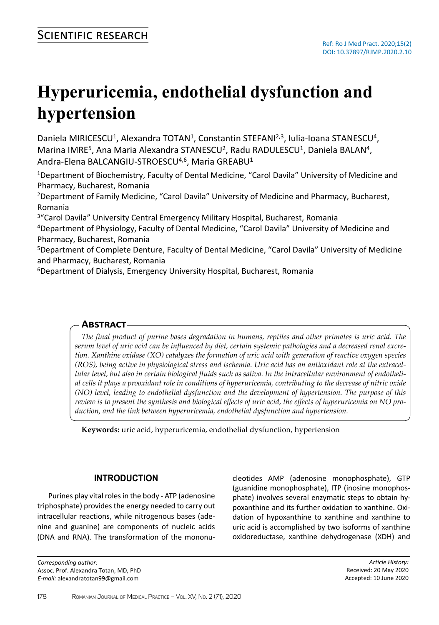# **Hyperuricemia, endothelial dysfunction and hypertension**

Daniela MIRICESCU<sup>1</sup>, Alexandra TOTAN<sup>1</sup>, Constantin STEFANI<sup>2,3</sup>, Iulia-Ioana STANESCU<sup>4</sup>, Marina IMRE<sup>5</sup>, Ana Maria Alexandra STANESCU<sup>2</sup>, Radu RADULESCU<sup>1</sup>, Daniela BALAN<sup>4</sup>, Andra-Elena BALCANGIU-STROESCU<sup>4,6</sup>, Maria GREABU<sup>1</sup>

<sup>1</sup>Department of Biochemistry, Faculty of Dental Medicine, "Carol Davila" University of Medicine and Pharmacy, Bucharest, Romania

<sup>2</sup>Department of Family Medicine, "Carol Davila" University of Medicine and Pharmacy, Bucharest, Romania

<sup>3</sup>"Carol Davila" University Central Emergency Military Hospital, Bucharest, Romania

<sup>4</sup>Department of Physiology, Faculty of Dental Medicine, "Carol Davila" University of Medicine and Pharmacy, Bucharest, Romania

<sup>5</sup>Department of Complete Denture, Faculty of Dental Medicine, "Carol Davila" University of Medicine and Pharmacy, Bucharest, Romania

<sup>6</sup>Department of Dialysis, Emergency University Hospital, Bucharest, Romania

## **Abstract**

*The final product of purine bases degradation in humans, reptiles and other primates is uric acid. The serum level of uric acid can be influenced by diet, certain systemic pathologies and a decreased renal excretion. Xanthine oxidase (XO) catalyzes the formation of uric acid with generation of reactive oxygen species (ROS), being active in physiological stress and ischemia. Uric acid has an antioxidant role at the extracellular level, but also in certain biological fluids such as saliva. In the intracellular environment of endothelial cells it plays a prooxidant role in conditions of hyperuricemia, contributing to the decrease of nitric oxide (NO) level, leading to endothelial dysfunction and the development of hypertension. The purpose of this review is to present the synthesis and biological effects of uric acid, the effects of hyperuricemia on NO production, and the link between hyperuricemia, endothelial dysfunction and hypertension.* 

**Keywords:** uric acid, hyperuricemia, endothelial dysfunction, hypertension

## **INTRODUCTION**

Purines play vital roles in the body - ATP (adenosine triphosphate) provides the energy needed to carry out intracellular reactions, while nitrogenous bases (adenine and guanine) are components of nucleic acids (DNA and RNA). The transformation of the mononu-

*Corresponding author:* Assoc. Prof. Alexandra Totan, MD, PhD *E-mail:* alexandratotan99@gmail.com

cleotides AMP (adenosine monophosphate), GTP (guanidine monophosphate), ITP (inosine monophosphate) involves several enzymatic steps to obtain hypoxanthine and its further oxidation to xanthine. Oxidation of hypoxanthine to xanthine and xanthine to uric acid is accomplished by two isoforms of xanthine oxidoreductase, xanthine dehydrogenase (XDH) and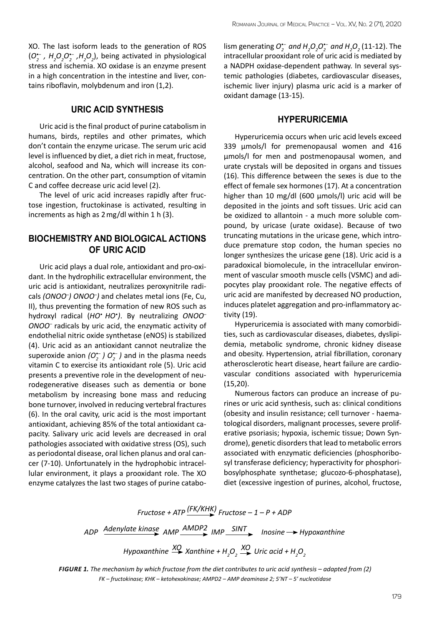XO. The last isoform leads to the generation of ROS (*O•– <sup>2</sup>, H2 O2 O•– <sup>2</sup>,H2 O2* ), being activated in physiological stress and ischemia. XO oxidase is an enzyme present in a high concentration in the intestine and liver, contains riboflavin, molybdenum and iron (1,2).

#### **URIC ACID SYNTHESIS**

Uric acid is the final product of purine catabolism in humans, birds, reptiles and other primates, which don't contain the enzyme uricase. The serum uric acid level is influenced by diet, a diet rich in meat, fructose, alcohol, seafood and Na, which will increase its concentration. On the other part, consumption of vitamin C and coffee decrease uric acid level (2).

The level of uric acid increases rapidly after fructose ingestion, fructokinase is activated, resulting in increments as high as 2mg/dl within 1 h (3).

#### **BIOCHEMISTRY AND BIOLOGICAL ACTIONS OF URIC ACID**

Uric acid plays a dual role, antioxidant and pro-oxidant. In the hydrophilic extracellular environment, the uric acid is antioxidant, neutralizes peroxynitrile radicals *(ONOO– ) ONOO– )* and chelates metal ions (Fe, Cu, II), thus preventing the formation of new ROS such as hydroxyl radical (*HO• HO• )*. By neutralizing *ONOO– ONOO–* radicals by uric acid, the enzymatic activity of endothelial nitric oxide synthetase (eNOS) is stabilized (4). Uric acid as an antioxidant cannot neutralize the superoxide anion *(O•– <sup>2</sup>) O•– <sup>2</sup>)* and in the plasma needs vitamin C to exercise its antioxidant role (5). Uric acid presents a preventive role in the development of neurodegenerative diseases such as dementia or bone metabolism by increasing bone mass and reducing bone turnover, involved in reducing vertebral fractures (6). In the oral cavity, uric acid is the most important antioxidant, achieving 85% of the total antioxidant capacity. Salivary uric acid levels are decreased in oral pathologies associated with oxidative stress (OS), such as periodontal disease, oral lichen planus and oral cancer (7-10). Unfortunately in the hydrophobic intracellular environment, it plays a prooxidant role. The XO enzyme catalyzes the last two stages of purine catabo-

 $\lim_{2}$  *D*<sup>•</sup>/ $\lim_{2}$  *O*<sup>•</sup>/ $\lim_{2}$  *D*<sub>2</sub> $O_{2}$ <sup>*O*</sup><sub> $2$ </sub><sup> $\lim_{2}$ </sup> *D<sub>2</sub>* (11-12). The intracellular prooxidant role of uric acid is mediated by a NADPH oxidase-dependent pathway. In several systemic pathologies (diabetes, cardiovascular diseases, ischemic liver injury) plasma uric acid is a marker of oxidant damage (13-15).

#### **HYPERURICEMIA**

Hyperuricemia occurs when uric acid levels exceed 339 μmols/l for premenopausal women and 416 μmols/l for men and postmenopausal women, and urate crystals will be deposited in organs and tissues (16). This difference between the sexes is due to the effect of female sex hormones (17). At a concentration higher than 10 mg/dl (600 μmols/l) uric acid will be deposited in the joints and soft tissues. Uric acid can be oxidized to allantoin - a much more soluble compound, by uricase (urate oxidase). Because of two truncating mutations in the uricase gene, which introduce premature stop codon, the human species no longer synthesizes the uricase gene (18). Uric acid is a paradoxical biomolecule, in the intracellular environment of vascular smooth muscle cells (VSMC) and adipocytes play prooxidant role. The negative effects of uric acid are manifested by decreased NO production, induces platelet aggregation and pro-inflammatory activity (19).

Hyperuricemia is associated with many comorbidities, such as cardiovascular diseases, diabetes, dyslipidemia, metabolic syndrome, chronic kidney disease and obesity. Hypertension, atrial fibrillation, coronary atherosclerotic heart disease, heart failure are cardiovascular conditions associated with hyperuricemia (15,20).

Numerous factors can produce an increase of purines or uric acid synthesis, such as: clinical conditions (obesity and insulin resistance; cell turnover - haematological disorders, malignant processes, severe proliferative psoriasis; hypoxia, ischemic tissue; Down Syndrome), genetic disorders that lead to metabolic errors associated with enzymatic deficiencies (phosphoribosyl transferase deficiency; hyperactivity for phosphoribosylphosphate synthetase; glucozo-6-phosphatase), diet (excessive ingestion of purines, alcohol, fructose,

$$
Fructose + ATP \xrightarrow{(FK/KHK)} Fructose - 1 - P + ADP
$$

*ADP Adenylate kinase AMP AMDP2 IMP SINT Inosine → Hypoxanthine* 

 $H$ ypoxanthine  $\frac{XQ}{X}$  Xanthine +  $H_2O_2$   $\stackrel{XQ}{\longrightarrow}$  Uric acid +  $H_2O_2$ 

*Figure 1. The mechanism by which fructose from the diet contributes to uric acid synthesis – adapted from (2) FK – fructokinase; KHK – ketohexokinase; AMPD2 – AMP deaminase 2; 5'NT – 5' nucleotidase*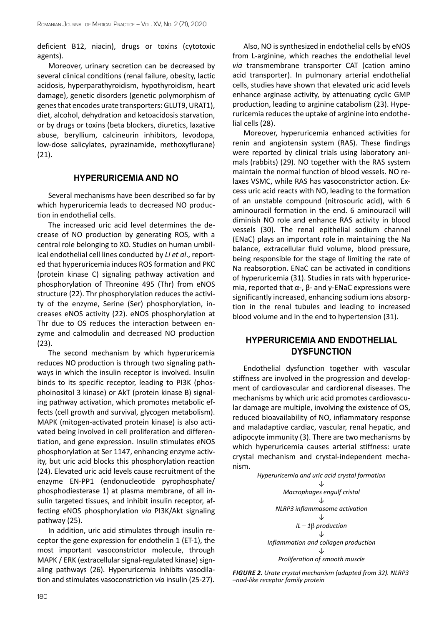deficient B12, niacin), drugs or toxins (cytotoxic agents).

Moreover, urinary secretion can be decreased by several clinical conditions (renal failure, obesity, lactic acidosis, hyperparathyroidism, hypothyroidism, heart damage), genetic disorders (genetic polymorphism of genes that encodes urate transporters: GLUT9, URAT1), diet, alcohol, dehydration and ketoacidosis starvation, or by drugs or toxins (beta blockers, diuretics, laxative abuse, beryllium, calcineurin inhibitors, levodopa, low-dose salicylates, pyrazinamide, methoxyflurane) (21).

#### **HYPERURICEMIA AND NO**

Several mechanisms have been described so far by which hyperuricemia leads to decreased NO production in endothelial cells.

The increased uric acid level determines the decrease of NO production by generating ROS, with a central role belonging to XO. Studies on human umbilical endothelial cell lines conducted by *Li et al*., reported that hyperuricemia induces ROS formation and PKC (protein kinase C) signaling pathway activation and phosphorylation of Threonine 495 (Thr) from eNOS structure (22). Thr phosphorylation reduces the activity of the enzyme, Serine (Ser) phosphorylation, increases eNOS activity (22). eNOS phosphorylation at Thr due to OS reduces the interaction between enzyme and calmodulin and decreased NO production (23).

The second mechanism by which hyperuricemia reduces NO production is through two signaling pathways in which the insulin receptor is involved. Insulin binds to its specific receptor, leading to PI3K (phosphoinositol 3 kinase) or AkT (protein kinase B) signaling pathway activation, which promotes metabolic effects (cell growth and survival, glycogen metabolism). MAPK (mitogen-activated protein kinase) is also activated being involved in cell proliferation and differentiation, and gene expression. Insulin stimulates eNOS phosphorylation at Ser 1147, enhancing enzyme activity, but uric acid blocks this phosphorylation reaction (24). Elevated uric acid levels cause recruitment of the enzyme EN-PP1 (endonucleotide pyrophosphate/ phosphodiesterase 1) at plasma membrane, of all insulin targeted tissues, and inhibit insulin receptor, affecting eNOS phosphorylation *via* PI3K/Akt signaling pathway (25).

In addition, uric acid stimulates through insulin receptor the gene expression for endothelin 1 (ET-1), the most important vasoconstrictor molecule, through MAPK / ERK (extracellular signal-regulated kinase) signaling pathways (26). Hyperuricemia inhibits vasodilation and stimulates vasoconstriction *via* insulin (25-27).

Also, NO is synthesized in endothelial cells by eNOS from L-arginine, which reaches the endothelial level *via* transmembrane transporter CAT (cation amino acid transporter). In pulmonary arterial endothelial cells, studies have shown that elevated uric acid levels enhance arginase activity, by attenuating cyclic GMP production, leading to arginine catabolism (23). Hyperuricemia reduces the uptake of arginine into endothelial cells (28).

Moreover, hyperuricemia enhanced activities for renin and angiotensin system (RAS). These findings were reported by clinical trials using laboratory animals (rabbits) (29). NO together with the RAS system maintain the normal function of blood vessels. NO relaxes VSMC, while RAS has vasoconstrictor action. Excess uric acid reacts with NO, leading to the formation of an unstable compound (nitrosouric acid), with 6 aminouracil formation in the end. 6 aminouracil will diminish NO role and enhance RAS activity in blood vessels (30). The renal epithelial sodium channel (ENaC) plays an important role in maintaining the Na balance, extracellular fluid volume, blood pressure, being responsible for the stage of limiting the rate of Na reabsorption. ENaC can be activated in conditions of hyperuricemia (31). Studies in rats with hyperuricemia, reported that  $\alpha$ -,  $\beta$ - and γ-ENaC expressions were significantly increased, enhancing sodium ions absorption in the renal tubules and leading to increased blood volume and in the end to hypertension (31).

## **HYPERURICEMIA AND ENDOTHELIAL DYSFUNCTION**

Endothelial dysfunction together with vascular stiffness are involved in the progression and development of cardiovascular and cardiorenal diseases. The mechanisms by which uric acid promotes cardiovascular damage are multiple, involving the existence of OS, reduced bioavailability of NO, inflammatory response and maladaptive cardiac, vascular, renal hepatic, and adipocyte immunity (3). There are two mechanisms by which hyperuricemia causes arterial stiffness: urate crystal mechanism and crystal-independent mechanism.



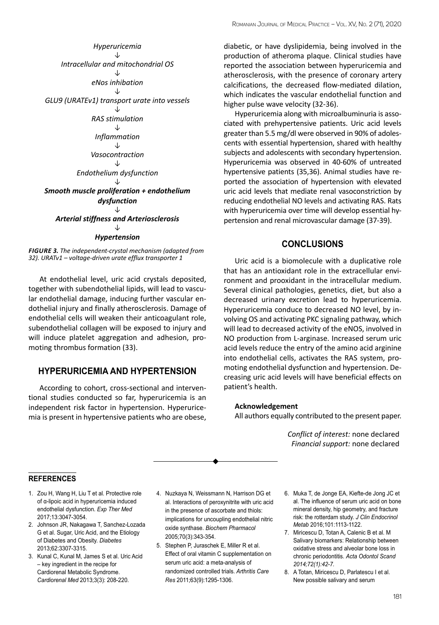*Hyperuricemia ↓ Intracellular and mitochondrial OS ↓ eNos inhibation ↓ GLU9 (URATEv1) transport urate into vessels ↓ RAS stimulation ↓ Inflammation ↓ Vasocontraction ↓ Endothelium dysfunction ↓ Smooth muscle proliferation + endothelium dysfunction ↓ Arterial stiffness and Arteriosclerosis ↓ Hypertension*

*Figure 3. The independent-crystal mechanism (adapted from 32). URATv1 – voltage-driven urate efflux transporter 1*

At endothelial level, uric acid crystals deposited, together with subendothelial lipids, will lead to vascular endothelial damage, inducing further vascular endothelial injury and finally atherosclerosis. Damage of endothelial cells will weaken their anticoagulant role, subendothelial collagen will be exposed to injury and will induce platelet aggregation and adhesion, promoting thrombus formation (33).

#### **HYPERURICEMIA AND HYPERTENSION**

According to cohort, cross-sectional and interventional studies conducted so far, hyperuricemia is an independent risk factor in hypertension. Hyperuricemia is present in hypertensive patients who are obese, diabetic, or have dyslipidemia, being involved in the production of atheroma plaque. Clinical studies have reported the association between hyperuricemia and atherosclerosis, with the presence of coronary artery calcifications, the decreased flow-mediated dilation, which indicates the vascular endothelial function and higher pulse wave velocity (32-36).

Hyperuricemia along with microalbuminuria is associated with prehypertensive patients. Uric acid levels greater than 5.5 mg/dl were observed in 90% of adolescents with essential hypertension, shared with healthy subjects and adolescents with secondary hypertension. Hyperuricemia was observed in 40-60% of untreated hypertensive patients (35,36). Animal studies have reported the association of hypertension with elevated uric acid levels that mediate renal vasoconstriction by reducing endothelial NO levels and activating RAS. Rats with hyperuricemia over time will develop essential hypertension and renal microvascular damage (37-39).

#### **CONCLUSIONS**

Uric acid is a biomolecule with a duplicative role that has an antioxidant role in the extracellular environment and prooxidant in the intracellular medium. Several clinical pathologies, genetics, diet, but also a decreased urinary excretion lead to hyperuricemia. Hyperuricemia conduce to decreased NO level, by involving OS and activating PKC signaling pathway, which will lead to decreased activity of the eNOS, involved in NO production from L-arginase. Increased serum uric acid levels reduce the entry of the amino acid arginine into endothelial cells, activates the RAS system, promoting endothelial dysfunction and hypertension. Decreasing uric acid levels will have beneficial effects on patient's health.

#### **Acknowledgement**

All authors equally contributed to the present paper.

*Conflict of interest:* none declared *Financial support:* none declared

#### **REFERENCES references**

- 1. Zou H, Wang H, Liu T et al. Protective role of α-lipoic acid in hyperuricemia induced endothelial dysfunction. *Exp Ther Med* 2017;13:3047-3054.
- 2. Johnson JR, Nakagawa T, Sanchez-Lozada G et al. Sugar, Uric Acid, and the Etiology of Diabetes and Obesity. *Diabetes* 2013;62:3307-3315.
- 3. Kunal C, Kunal M, James S et al. Uric Acid – key ingredient in the recipe for Cardiorenal Metabolic Syndrome. *Cardiorenal Med* 2013;3(3): 208-220.
- 4. Nuzkaya N, Weissmann N, Harrison DG et al. Interactions of peroxynitrite with uric acid in the presence of ascorbate and thiols: implications for uncoupling endothelial nitric oxide synthase. *Biochem Pharmacol* 2005;70(3):343-354.
- 5. Stephen P, Juraschek E, Miller R et al. Effect of oral vitamin C supplementation on serum uric acid: a meta-analysis of randomized controlled trials. *Arthritis Care Res* 2011;63(9):1295-1306.
- 6. Muka T, de Jonge EA, Kiefte-de Jong JC et al. The influence of serum uric acid on bone mineral density, hip geometry, and fracture risk: the rotterdam study. *J Clin Endocrinol Metab* 2016;101:1113-1122.
- 7. Miricescu D, Totan A, Calenic B et al. M Salivary biomarkers: Relationship between oxidative stress and alveolar bone loss in chronic periodontitis. *Acta Odontol Scand 2014;72(1):42-7.*
- 8. A Totan, Miricescu D, Parlatescu I et al. New possible salivary and serum